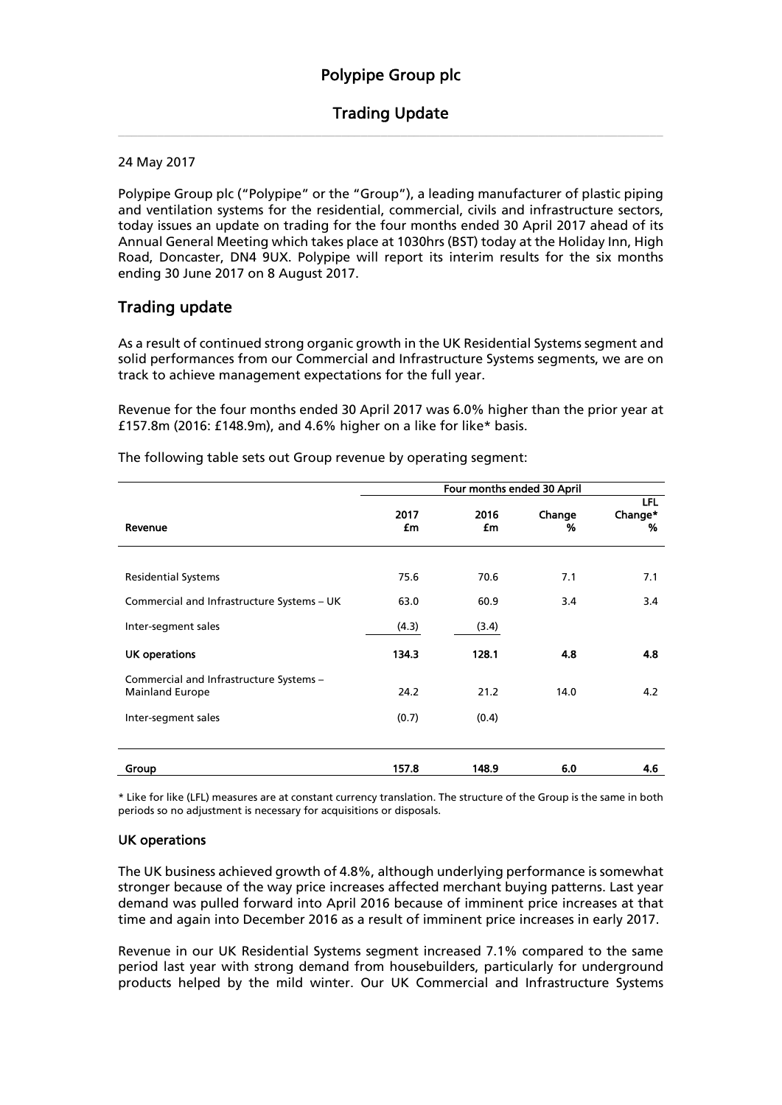# Trading Update \_\_\_\_\_\_\_\_\_\_\_\_\_\_\_\_\_\_\_\_\_\_\_\_\_\_\_\_\_\_\_\_\_\_\_\_\_\_\_\_\_\_\_\_\_\_\_\_\_\_\_\_\_\_\_\_\_\_\_\_\_\_\_\_\_\_\_\_\_\_\_\_\_\_\_\_\_\_\_\_\_\_\_

24 May 2017

Polypipe Group plc ("Polypipe" or the "Group"), a leading manufacturer of plastic piping and ventilation systems for the residential, commercial, civils and infrastructure sectors, today issues an update on trading for the four months ended 30 April 2017 ahead of its Annual General Meeting which takes place at 1030hrs (BST) today at the Holiday Inn, High Road, Doncaster, DN4 9UX. Polypipe will report its interim results for the six months ending 30 June 2017 on 8 August 2017.

# Trading update

As a result of continued strong organic growth in the UK Residential Systems segment and solid performances from our Commercial and Infrastructure Systems segments, we are on track to achieve management expectations for the full year.

Revenue for the four months ended 30 April 2017 was 6.0% higher than the prior year at £157.8m (2016: £148.9m), and 4.6% higher on a like for like\* basis.

|                                                                   | Four months ended 30 April |            |             |                     |
|-------------------------------------------------------------------|----------------------------|------------|-------------|---------------------|
| Revenue                                                           | 2017<br>£m                 | 2016<br>£m | Change<br>% | LFL<br>Change*<br>% |
|                                                                   |                            |            |             |                     |
| <b>Residential Systems</b>                                        | 75.6                       | 70.6       | 7.1         | 7.1                 |
| Commercial and Infrastructure Systems - UK                        | 63.0                       | 60.9       | 3.4         | 3.4                 |
| Inter-segment sales                                               | (4.3)                      | (3.4)      |             |                     |
| <b>UK operations</b>                                              | 134.3                      | 128.1      | 4.8         | 4.8                 |
| Commercial and Infrastructure Systems -<br><b>Mainland Europe</b> | 24.2                       | 21.2       | 14.0        | 4.2                 |
| Inter-segment sales                                               | (0.7)                      | (0.4)      |             |                     |
|                                                                   |                            |            |             |                     |
| Group                                                             | 157.8                      | 148.9      | 6.0         | 4.6                 |

The following table sets out Group revenue by operating segment:

\* Like for like (LFL) measures are at constant currency translation. The structure of the Group is the same in both periods so no adjustment is necessary for acquisitions or disposals.

## UK operations

The UK business achieved growth of 4.8%, although underlying performance is somewhat stronger because of the way price increases affected merchant buying patterns. Last year demand was pulled forward into April 2016 because of imminent price increases at that time and again into December 2016 as a result of imminent price increases in early 2017.

Revenue in our UK Residential Systems segment increased 7.1% compared to the same period last year with strong demand from housebuilders, particularly for underground products helped by the mild winter. Our UK Commercial and Infrastructure Systems